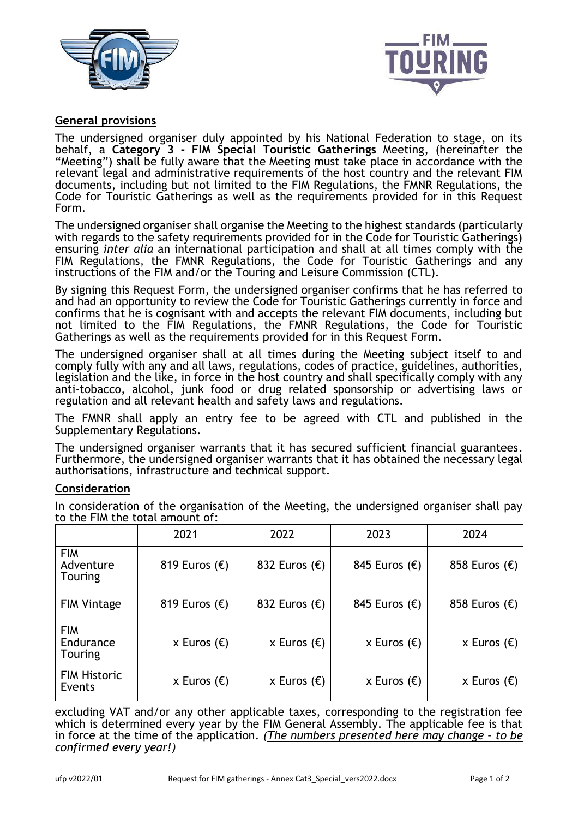



# **General provisions**

The undersigned organiser duly appointed by his National Federation to stage, on its behalf, a **Category 3 - FIM Special Touristic Gatherings** Meeting, (hereinafter the "Meeting") shall be fully aware that the Meeting must take place in accordance with the relevant legal and administrative requirements of the host country and the relevant FIM documents, including but not limited to the FIM Regulations, the FMNR Regulations, the Code for Touristic Gatherings as well as the requirements provided for in this Request Form.

The undersigned organiser shall organise the Meeting to the highest standards (particularly with regards to the safety requirements provided for in the Code for Touristic Gatherings) ensuring *inter alia* an international participation and shall at all times comply with the FIM Regulations, the FMNR Regulations, the Code for Touristic Gatherings and any instructions of the FIM and/or the Touring and Leisure Commission (CTL).

By signing this Request Form, the undersigned organiser confirms that he has referred to and had an opportunity to review the Code for Touristic Gatherings currently in force and confirms that he is cognisant with and accepts the relevant FIM documents, including but not limited to the FIM Regulations, the FMNR Regulations, the Code for Touristic Gatherings as well as the requirements provided for in this Request Form.

The undersigned organiser shall at all times during the Meeting subject itself to and comply fully with any and all laws, regulations, codes of practice, guidelines, authorities, legislation and the like, in force in the host country and shall specifically comply with any anti-tobacco, alcohol, junk food or drug related sponsorship or advertising laws or regulation and all relevant health and safety laws and regulations.

The FMNR shall apply an entry fee to be agreed with CTL and published in the Supplementary Regulations.

The undersigned organiser warrants that it has secured sufficient financial guarantees. Furthermore, the undersigned organiser warrants that it has obtained the necessary legal authorisations, infrastructure and technical support.

## **Consideration**

In consideration of the organisation of the Meeting, the undersigned organiser shall pay to the FIM the total amount of:

|                                           | 2021                   | 2022                   | 2023                   | 2024                   |
|-------------------------------------------|------------------------|------------------------|------------------------|------------------------|
| <b>FIM</b><br>Adventure<br><b>Touring</b> | 819 Euros $(\epsilon)$ | 832 Euros $(\epsilon)$ | 845 Euros $(\epsilon)$ | 858 Euros $(\epsilon)$ |
| <b>FIM Vintage</b>                        | 819 Euros $(\epsilon)$ | 832 Euros $(\epsilon)$ | 845 Euros $(\epsilon)$ | 858 Euros $(\epsilon)$ |
| <b>FIM</b><br>Endurance<br><b>Touring</b> | x Euros $(\epsilon)$   | x Euros $(\epsilon)$   | x Euros $(\epsilon)$   | x Euros $(\epsilon)$   |
| <b>FIM Historic</b><br>Events             | x Euros $(\epsilon)$   | x Euros $(\epsilon)$   | x Euros $(\epsilon)$   | x Euros $(\epsilon)$   |

excluding VAT and/or any other applicable taxes, corresponding to the registration fee which is determined every year by the FIM General Assembly. The applicable fee is that in force at the time of the application. *(The numbers presented here may change – to be confirmed every year!)*